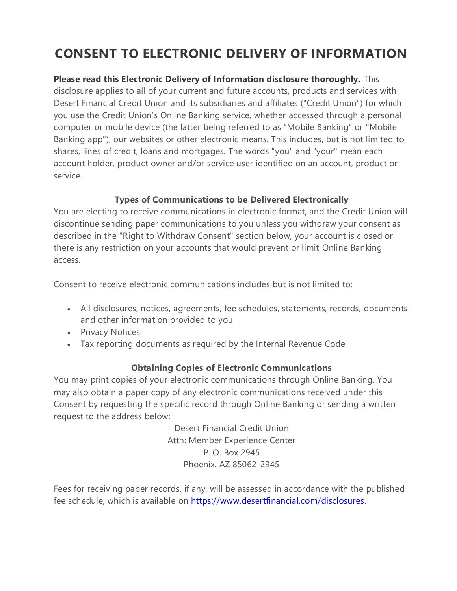# **CONSENT TO ELECTRONIC DELIVERY OF INFORMATION**

**Please read this Electronic Delivery of Information disclosure thoroughly.** This disclosure applies to all of your current and future accounts, products and services with Desert Financial Credit Union and its subsidiaries and affiliates ("Credit Union") for which you use the Credit Union's Online Banking service, whether accessed through a personal computer or mobile device (the latter being referred to as "Mobile Banking" or "Mobile Banking app"), our websites or other electronic means. This includes, but is not limited to, shares, lines of credit, loans and mortgages. The words "you" and "your" mean each account holder, product owner and/or service user identified on an account, product or service.

# **Types of Communications to be Delivered Electronically**

You are electing to receive communications in electronic format, and the Credit Union will discontinue sending paper communications to you unless you withdraw your consent as described in the "Right to Withdraw Consent" section below, your account is closed or there is any restriction on your accounts that would prevent or limit Online Banking access.

Consent to receive electronic communications includes but is not limited to:

- All disclosures, notices, agreements, fee schedules, statements, records, documents and other information provided to you
- Privacy Notices
- Tax reporting documents as required by the Internal Revenue Code

# **Obtaining Copies of Electronic Communications**

You may print copies of your electronic communications through Online Banking. You may also obtain a paper copy of any electronic communications received under this Consent by requesting the specific record through Online Banking or sending a written request to the address below:

> Desert Financial Credit Union Attn: Member Experience Center P. O. Box 2945 Phoenix, AZ 85062-2945

Fees for receiving paper records, if any, will be assessed in accordance with the published fee schedule, which is available on [https://www.desertfinancial.com/disclosures.](https://www.desertfinancial.com/disclosures)